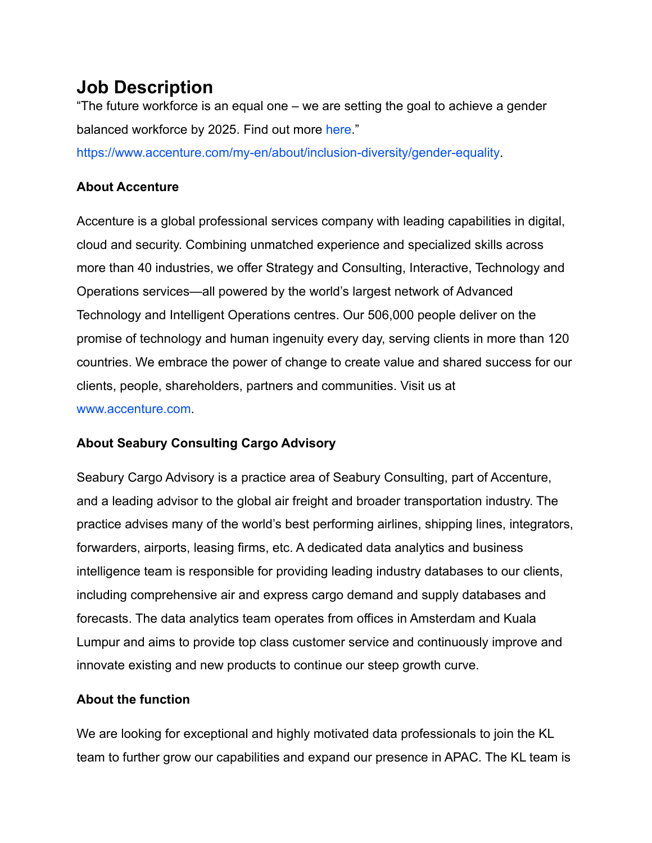## **Job Description**

"The future workforce is an equal one – we are setting the goal to achieve a gender balanced workforce by 2025. Find out more [here](https://www.accenture.com/my-en/gender-equality-research-2017)."

[https://www.accenture.com/my-en/about/inclusion-diversity/gender-equality.](https://www.accenture.com/my-en/about/inclusion-diversity/gender-equality)

#### **About Accenture**

Accenture is a global professional services company with leading capabilities in digital, cloud and security. Combining unmatched experience and specialized skills across more than 40 industries, we offer Strategy and Consulting, Interactive, Technology and Operations services—all powered by the world's largest network of Advanced Technology and Intelligent Operations centres. Our 506,000 people deliver on the promise of technology and human ingenuity every day, serving clients in more than 120 countries. We embrace the power of change to create value and shared success for our clients, people, shareholders, partners and communities. Visit us at [www.accenture.com](http://www.accenture.com/).

### **About Seabury Consulting Cargo Advisory**

Seabury Cargo Advisory is a practice area of Seabury Consulting, part of Accenture, and a leading advisor to the global air freight and broader transportation industry. The practice advises many of the world's best performing airlines, shipping lines, integrators, forwarders, airports, leasing firms, etc. A dedicated data analytics and business intelligence team is responsible for providing leading industry databases to our clients, including comprehensive air and express cargo demand and supply databases and forecasts. The data analytics team operates from offices in Amsterdam and Kuala Lumpur and aims to provide top class customer service and continuously improve and innovate existing and new products to continue our steep growth curve.

### **About the function**

We are looking for exceptional and highly motivated data professionals to join the KL team to further grow our capabilities and expand our presence in APAC. The KL team is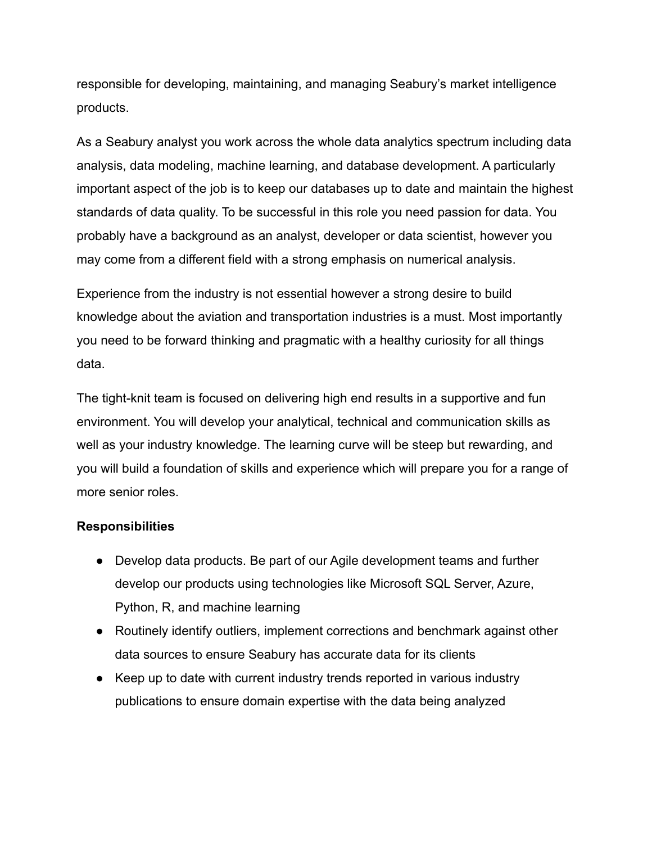responsible for developing, maintaining, and managing Seabury's market intelligence products.

As a Seabury analyst you work across the whole data analytics spectrum including data analysis, data modeling, machine learning, and database development. A particularly important aspect of the job is to keep our databases up to date and maintain the highest standards of data quality. To be successful in this role you need passion for data. You probably have a background as an analyst, developer or data scientist, however you may come from a different field with a strong emphasis on numerical analysis.

Experience from the industry is not essential however a strong desire to build knowledge about the aviation and transportation industries is a must. Most importantly you need to be forward thinking and pragmatic with a healthy curiosity for all things data.

The tight-knit team is focused on delivering high end results in a supportive and fun environment. You will develop your analytical, technical and communication skills as well as your industry knowledge. The learning curve will be steep but rewarding, and you will build a foundation of skills and experience which will prepare you for a range of more senior roles.

#### **Responsibilities**

- Develop data products. Be part of our Agile development teams and further develop our products using technologies like Microsoft SQL Server, Azure, Python, R, and machine learning
- Routinely identify outliers, implement corrections and benchmark against other data sources to ensure Seabury has accurate data for its clients
- Keep up to date with current industry trends reported in various industry publications to ensure domain expertise with the data being analyzed